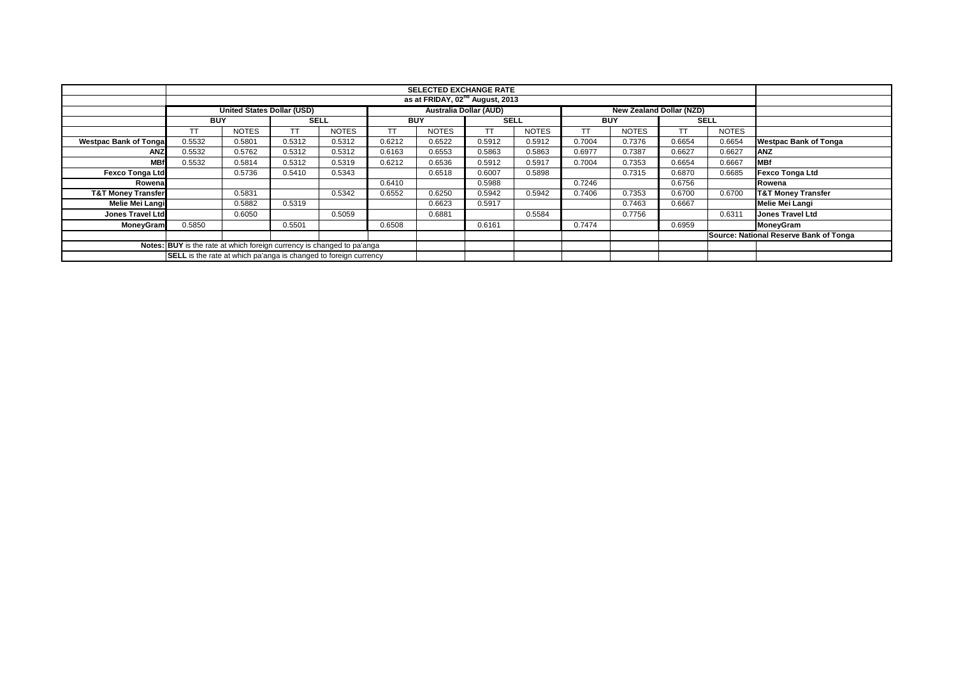|                               |                                                                         |                                             |             |              |            | <b>SELECTED EXCHANGE RATE</b> |             |              |            |                                 |           |              |                                        |
|-------------------------------|-------------------------------------------------------------------------|---------------------------------------------|-------------|--------------|------------|-------------------------------|-------------|--------------|------------|---------------------------------|-----------|--------------|----------------------------------------|
|                               |                                                                         | as at FRIDAY, 02 <sup>nd</sup> August, 2013 |             |              |            |                               |             |              |            |                                 |           |              |                                        |
|                               |                                                                         | <b>United States Dollar (USD)</b>           |             |              |            | <b>Australia Dollar (AUD)</b> |             |              |            | <b>New Zealand Dollar (NZD)</b> |           |              |                                        |
|                               | <b>BUY</b>                                                              |                                             | <b>SELL</b> |              | <b>BUY</b> |                               | <b>SELL</b> |              | <b>BUY</b> |                                 |           | <b>SELL</b>  |                                        |
|                               | <b>TT</b>                                                               | <b>NOTES</b>                                |             | <b>NOTES</b> | <b>TT</b>  | <b>NOTES</b>                  | <b>TT</b>   | <b>NOTES</b> | TТ         | <b>NOTES</b>                    | <b>TT</b> | <b>NOTES</b> |                                        |
| <b>Westpac Bank of Tongal</b> | 0.5532                                                                  | 0.5801                                      | 0.5312      | 0.5312       | 0.6212     | 0.6522                        | 0.5912      | 0.5912       | 0.7004     | 0.7376                          | 0.6654    | 0.6654       | <b>Westpac Bank of Tonga</b>           |
| ANZ                           | 0.5532                                                                  | 0.5762                                      | 0.5312      | 0.5312       | 0.6163     | 0.6553                        | 0.5863      | 0.5863       | 0.6977     | 0.7387                          | 0.6627    | 0.6627       | <b>ANZ</b>                             |
| <b>MBf</b>                    | 0.5532                                                                  | 0.5814                                      | 0.5312      | 0.5319       | 0.6212     | 0.6536                        | 0.5912      | 0.5917       | 0.7004     | 0.7353                          | 0.6654    | 0.6667       | <b>MBf</b>                             |
| <b>Fexco Tonga Ltd</b>        |                                                                         | 0.5736                                      | 0.5410      | 0.5343       |            | 0.6518                        | 0.6007      | 0.5898       |            | 0.7315                          | 0.6870    | 0.6685       | <b>Fexco Tonga Ltd</b>                 |
| Rowenal                       |                                                                         |                                             |             |              | 0.6410     |                               | 0.5988      |              | 0.7246     |                                 | 0.6756    |              | Rowena                                 |
| <b>T&amp;T Money Transfer</b> |                                                                         | 0.5831                                      |             | 0.5342       | 0.6552     | 0.6250                        | 0.5942      | 0.5942       | 0.7406     | 0.7353                          | 0.6700    | 0.6700       | <b>T&amp;T Money Transfer</b>          |
| Melie Mei Langi               |                                                                         | 0.5882                                      | 0.5319      |              |            | 0.6623                        | 0.5917      |              |            | 0.7463                          | 0.6667    |              | <b>Melie Mei Langi</b>                 |
| Jones Travel Ltd              |                                                                         | 0.6050                                      |             | 0.5059       |            | 0.6881                        |             | 0.5584       |            | 0.7756                          |           | 0.6311       | <b>Jones Travel Ltd</b>                |
| MoneyGram                     | 0.5850                                                                  |                                             | 0.5501      |              | 0.6508     |                               | 0.6161      |              | 0.7474     |                                 | 0.6959    |              | MoneyGram                              |
|                               |                                                                         |                                             |             |              |            |                               |             |              |            |                                 |           |              | Source: National Reserve Bank of Tonga |
|                               | Notes: BUY is the rate at which foreign currency is changed to pa'anga  |                                             |             |              |            |                               |             |              |            |                                 |           |              |                                        |
|                               | <b>SELL</b> is the rate at which pa'anga is changed to foreign currency |                                             |             |              |            |                               |             |              |            |                                 |           |              |                                        |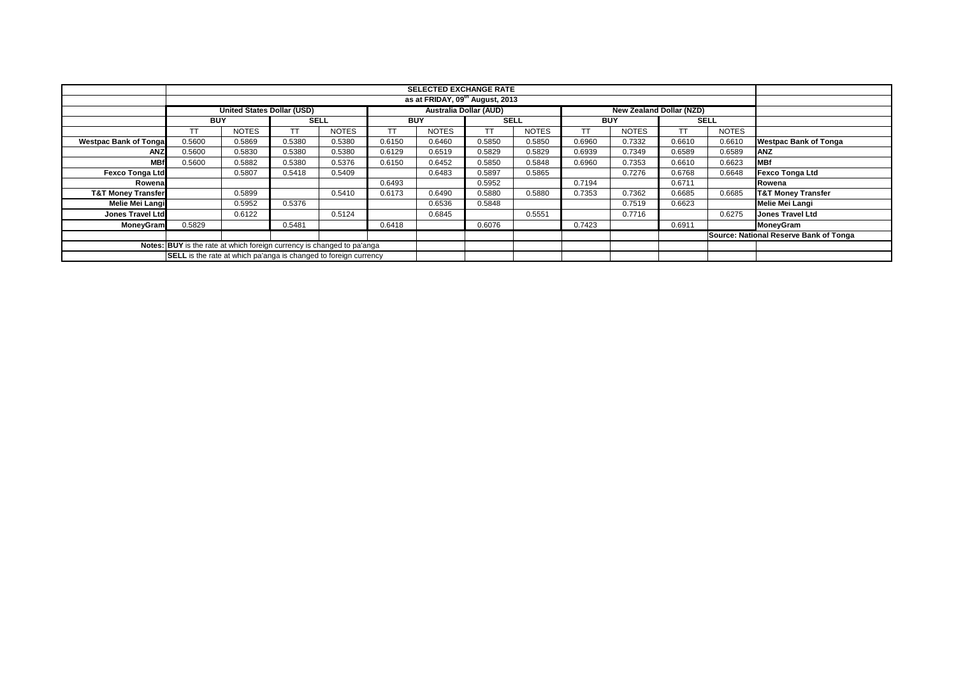|                                                                        |                                                                  |                                   |             |              |                               | <b>SELECTED EXCHANGE RATE</b> |             |              |            |                                 |           |              |                                        |
|------------------------------------------------------------------------|------------------------------------------------------------------|-----------------------------------|-------------|--------------|-------------------------------|-------------------------------|-------------|--------------|------------|---------------------------------|-----------|--------------|----------------------------------------|
|                                                                        | as at FRIDAY, 09 <sup>th</sup> August, 2013                      |                                   |             |              |                               |                               |             |              |            |                                 |           |              |                                        |
|                                                                        |                                                                  | <b>United States Dollar (USD)</b> |             |              | <b>Australia Dollar (AUD)</b> |                               |             |              |            | <b>New Zealand Dollar (NZD)</b> |           |              |                                        |
|                                                                        | <b>BUY</b>                                                       |                                   | <b>SELL</b> |              | <b>BUY</b>                    |                               | <b>SELL</b> |              | <b>BUY</b> |                                 |           | <b>SELL</b>  |                                        |
|                                                                        | TT                                                               | <b>NOTES</b>                      | TТ          | <b>NOTES</b> | TT                            | <b>NOTES</b>                  | <b>TT</b>   | <b>NOTES</b> | TТ         | <b>NOTES</b>                    | <b>TT</b> | <b>NOTES</b> |                                        |
| <b>Westpac Bank of Tonga</b>                                           | 0.5600                                                           | 0.5869                            | 0.5380      | 0.5380       | 0.6150                        | 0.6460                        | 0.5850      | 0.5850       | 0.6960     | 0.7332                          | 0.6610    | 0.6610       | <b>Westpac Bank of Tonga</b>           |
| ANZ                                                                    | 0.5600                                                           | 0.5830                            | 0.5380      | 0.5380       | 0.6129                        | 0.6519                        | 0.5829      | 0.5829       | 0.6939     | 0.7349                          | 0.6589    | 0.6589       | <b>ANZ</b>                             |
| <b>MBf</b>                                                             | 0.5600                                                           | 0.5882                            | 0.5380      | 0.5376       | 0.6150                        | 0.6452                        | 0.5850      | 0.5848       | 0.6960     | 0.7353                          | 0.6610    | 0.6623       | <b>MBf</b>                             |
| <b>Fexco Tonga Ltd</b>                                                 |                                                                  | 0.5807                            | 0.5418      | 0.5409       |                               | 0.6483                        | 0.5897      | 0.5865       |            | 0.7276                          | 0.6768    | 0.6648       | <b>Fexco Tonga Ltd</b>                 |
| Rowena                                                                 |                                                                  |                                   |             |              | 0.6493                        |                               | 0.5952      |              | 0.7194     |                                 | 0.6711    |              | Rowena                                 |
| <b>T&amp;T Money Transfer</b>                                          |                                                                  | 0.5899                            |             | 0.5410       | 0.6173                        | 0.6490                        | 0.5880      | 0.5880       | 0.7353     | 0.7362                          | 0.6685    | 0.6685       | <b>T&amp;T Money Transfer</b>          |
| Melie Mei Langi                                                        |                                                                  | 0.5952                            | 0.5376      |              |                               | 0.6536                        | 0.5848      |              |            | 0.7519                          | 0.6623    |              | <b>Melie Mei Langi</b>                 |
| <b>Jones Travel Ltd</b>                                                |                                                                  | 0.6122                            |             | 0.5124       |                               | 0.6845                        |             | 0.5551       |            | 0.7716                          |           | 0.6275       | <b>Jones Travel Ltd</b>                |
| MoneyGram                                                              | 0.5829                                                           |                                   | 0.5481      |              | 0.6418                        |                               | 0.6076      |              | 0.7423     |                                 | 0.6911    |              | MoneyGram                              |
|                                                                        |                                                                  |                                   |             |              |                               |                               |             |              |            |                                 |           |              | Source: National Reserve Bank of Tonga |
| Notes: BUY is the rate at which foreign currency is changed to pa'anga |                                                                  |                                   |             |              |                               |                               |             |              |            |                                 |           |              |                                        |
|                                                                        | SELL is the rate at which pa'anga is changed to foreign currency |                                   |             |              |                               |                               |             |              |            |                                 |           |              |                                        |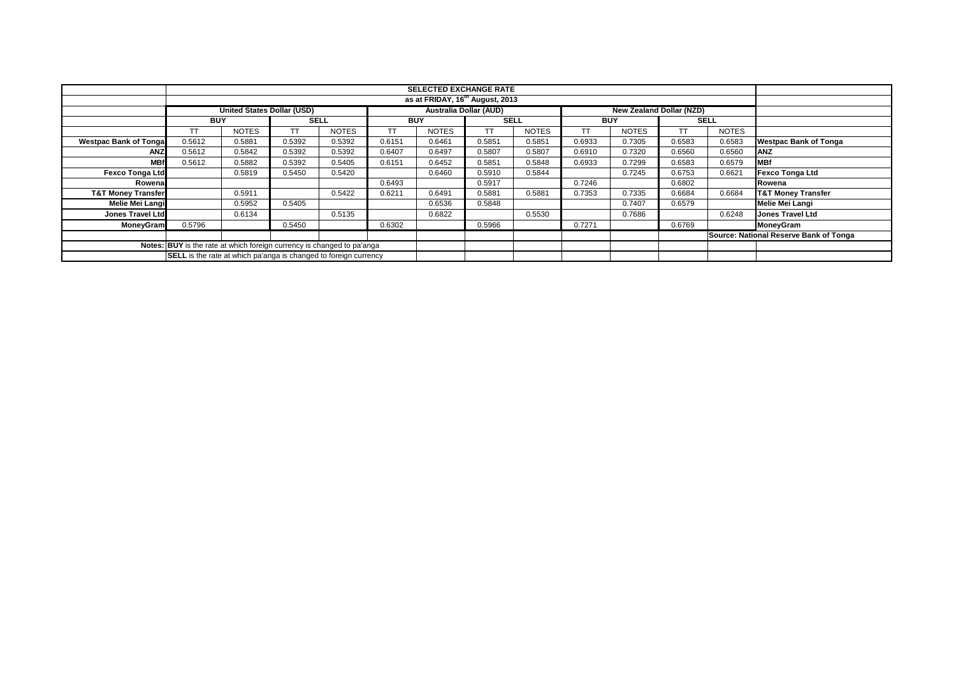|                                                                        |                                                                  |                                   |             |              |            | <b>SELECTED EXCHANGE RATE</b> |             |              |            |                                 |             |              |                                        |
|------------------------------------------------------------------------|------------------------------------------------------------------|-----------------------------------|-------------|--------------|------------|-------------------------------|-------------|--------------|------------|---------------------------------|-------------|--------------|----------------------------------------|
|                                                                        | as at FRIDAY, 16 <sup>th</sup> August, 2013                      |                                   |             |              |            |                               |             |              |            |                                 |             |              |                                        |
|                                                                        |                                                                  | <b>United States Dollar (USD)</b> |             |              |            | <b>Australia Dollar (AUD)</b> |             |              |            | <b>New Zealand Dollar (NZD)</b> |             |              |                                        |
|                                                                        | <b>BUY</b>                                                       |                                   | <b>SELL</b> |              | <b>BUY</b> |                               | <b>SELL</b> |              | <b>BUY</b> |                                 | <b>SELL</b> |              |                                        |
|                                                                        | TT                                                               | <b>NOTES</b>                      | TТ          | <b>NOTES</b> | TT         | <b>NOTES</b>                  | <b>TT</b>   | <b>NOTES</b> | TТ         | <b>NOTES</b>                    | <b>TT</b>   | <b>NOTES</b> |                                        |
| <b>Westpac Bank of Tonga</b>                                           | 0.5612                                                           | 0.5881                            | 0.5392      | 0.5392       | 0.6151     | 0.6461                        | 0.5851      | 0.5851       | 0.6933     | 0.7305                          | 0.6583      | 0.6583       | <b>Westpac Bank of Tonga</b>           |
| ANZ                                                                    | 0.5612                                                           | 0.5842                            | 0.5392      | 0.5392       | 0.6407     | 0.6497                        | 0.5807      | 0.5807       | 0.6910     | 0.7320                          | 0.6560      | 0.6560       | <b>ANZ</b>                             |
| <b>MBf</b>                                                             | 0.5612                                                           | 0.5882                            | 0.5392      | 0.5405       | 0.6151     | 0.6452                        | 0.5851      | 0.5848       | 0.6933     | 0.7299                          | 0.6583      | 0.6579       | <b>MBf</b>                             |
| <b>Fexco Tonga Ltd</b>                                                 |                                                                  | 0.5819                            | 0.5450      | 0.5420       |            | 0.6460                        | 0.5910      | 0.5844       |            | 0.7245                          | 0.6753      | 0.6621       | <b>Fexco Tonga Ltd</b>                 |
| Rowena                                                                 |                                                                  |                                   |             |              | 0.6493     |                               | 0.5917      |              | 0.7246     |                                 | 0.6802      |              | Rowena                                 |
| <b>T&amp;T Money Transfer</b>                                          |                                                                  | 0.5911                            |             | 0.5422       | 0.6211     | 0.6491                        | 0.5881      | 0.5881       | 0.7353     | 0.7335                          | 0.6684      | 0.6684       | <b>T&amp;T Money Transfer</b>          |
| Melie Mei Langi                                                        |                                                                  | 0.5952                            | 0.5405      |              |            | 0.6536                        | 0.5848      |              |            | 0.7407                          | 0.6579      |              | <b>Melie Mei Langi</b>                 |
| <b>Jones Travel Ltd</b>                                                |                                                                  | 0.6134                            |             | 0.5135       |            | 0.6822                        |             | 0.5530       |            | 0.7686                          |             | 0.6248       | <b>Jones Travel Ltd</b>                |
| MoneyGram                                                              | 0.5796                                                           |                                   | 0.5450      |              | 0.6302     |                               | 0.5966      |              | 0.7271     |                                 | 0.6769      |              | MoneyGram                              |
|                                                                        |                                                                  |                                   |             |              |            |                               |             |              |            |                                 |             |              | Source: National Reserve Bank of Tonga |
| Notes: BUY is the rate at which foreign currency is changed to pa'anga |                                                                  |                                   |             |              |            |                               |             |              |            |                                 |             |              |                                        |
|                                                                        | SELL is the rate at which pa'anga is changed to foreign currency |                                   |             |              |            |                               |             |              |            |                                 |             |              |                                        |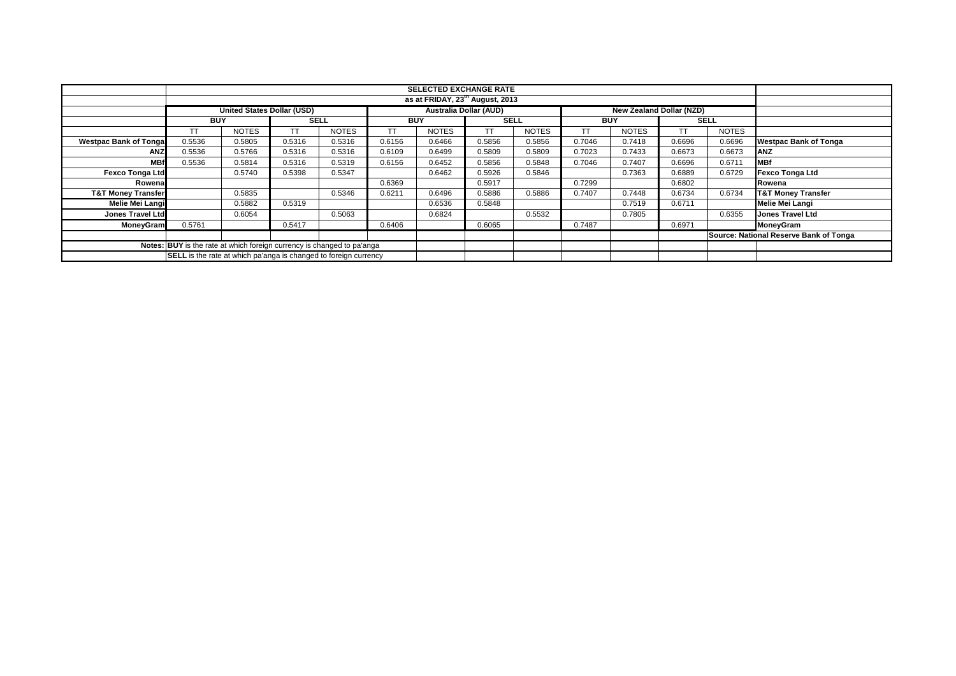|                                                                        |                                             |                                   |                                                                  |              |                               | <b>SELECTED EXCHANGE RATE</b> |             |              |            |                                 |           |              |                                        |
|------------------------------------------------------------------------|---------------------------------------------|-----------------------------------|------------------------------------------------------------------|--------------|-------------------------------|-------------------------------|-------------|--------------|------------|---------------------------------|-----------|--------------|----------------------------------------|
|                                                                        | as at FRIDAY, 23 <sup>th</sup> August, 2013 |                                   |                                                                  |              |                               |                               |             |              |            |                                 |           |              |                                        |
|                                                                        |                                             | <b>United States Dollar (USD)</b> |                                                                  |              | <b>Australia Dollar (AUD)</b> |                               |             |              |            | <b>New Zealand Dollar (NZD)</b> |           |              |                                        |
|                                                                        | <b>BUY</b>                                  |                                   | <b>SELL</b>                                                      |              | <b>BUY</b>                    |                               | <b>SELL</b> |              | <b>BUY</b> |                                 |           | <b>SELL</b>  |                                        |
|                                                                        | TT                                          | <b>NOTES</b>                      | TТ                                                               | <b>NOTES</b> | TT                            | <b>NOTES</b>                  | <b>TT</b>   | <b>NOTES</b> | TТ         | <b>NOTES</b>                    | <b>TT</b> | <b>NOTES</b> |                                        |
| <b>Westpac Bank of Tonga</b>                                           | 0.5536                                      | 0.5805                            | 0.5316                                                           | 0.5316       | 0.6156                        | 0.6466                        | 0.5856      | 0.5856       | 0.7046     | 0.7418                          | 0.6696    | 0.6696       | <b>Westpac Bank of Tonga</b>           |
| ANZ                                                                    | 0.5536                                      | 0.5766                            | 0.5316                                                           | 0.5316       | 0.6109                        | 0.6499                        | 0.5809      | 0.5809       | 0.7023     | 0.7433                          | 0.6673    | 0.6673       | <b>ANZ</b>                             |
| <b>MBf</b>                                                             | 0.5536                                      | 0.5814                            | 0.5316                                                           | 0.5319       | 0.6156                        | 0.6452                        | 0.5856      | 0.5848       | 0.7046     | 0.7407                          | 0.6696    | 0.6711       | <b>MBf</b>                             |
| <b>Fexco Tonga Ltd</b>                                                 |                                             | 0.5740                            | 0.5398                                                           | 0.5347       |                               | 0.6462                        | 0.5926      | 0.5846       |            | 0.7363                          | 0.6889    | 0.6729       | <b>Fexco Tonga Ltd</b>                 |
| Rowena                                                                 |                                             |                                   |                                                                  |              | 0.6369                        |                               | 0.5917      |              | 0.7299     |                                 | 0.6802    |              | Rowena                                 |
| <b>T&amp;T Money Transfer</b>                                          |                                             | 0.5835                            |                                                                  | 0.5346       | 0.6211                        | 0.6496                        | 0.5886      | 0.5886       | 0.7407     | 0.7448                          | 0.6734    | 0.6734       | <b>T&amp;T Money Transfer</b>          |
| Melie Mei Langi                                                        |                                             | 0.5882                            | 0.5319                                                           |              |                               | 0.6536                        | 0.5848      |              |            | 0.7519                          | 0.6711    |              | <b>Melie Mei Langi</b>                 |
| <b>Jones Travel Ltd</b>                                                |                                             | 0.6054                            |                                                                  | 0.5063       |                               | 0.6824                        |             | 0.5532       |            | 0.7805                          |           | 0.6355       | <b>Jones Travel Ltd</b>                |
| MoneyGram                                                              | 0.5761                                      |                                   | 0.5417                                                           |              | 0.6406                        |                               | 0.6065      |              | 0.7487     |                                 | 0.6971    |              | MoneyGram                              |
|                                                                        |                                             |                                   |                                                                  |              |                               |                               |             |              |            |                                 |           |              | Source: National Reserve Bank of Tonga |
| Notes: BUY is the rate at which foreign currency is changed to pa'anga |                                             |                                   |                                                                  |              |                               |                               |             |              |            |                                 |           |              |                                        |
|                                                                        |                                             |                                   | SELL is the rate at which pa'anga is changed to foreign currency |              |                               |                               |             |              |            |                                 |           |              |                                        |